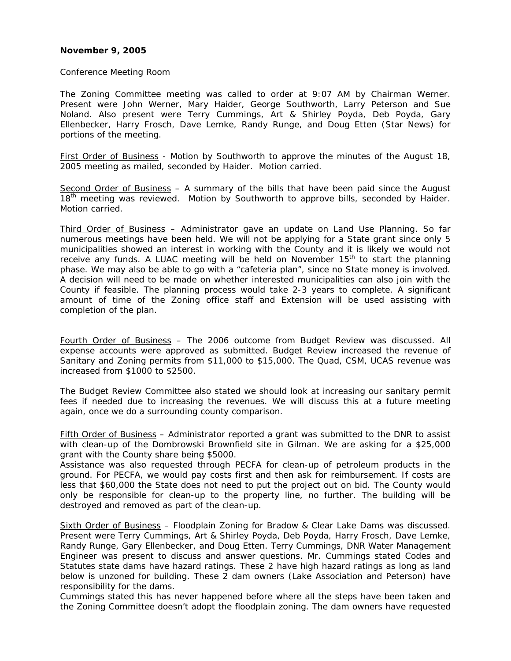#### **November 9, 2005**

#### Conference Meeting Room

The Zoning Committee meeting was called to order at 9:07 AM by Chairman Werner. Present were John Werner, Mary Haider, George Southworth, Larry Peterson and Sue Noland. Also present were Terry Cummings, Art & Shirley Poyda, Deb Poyda, Gary Ellenbecker, Harry Frosch, Dave Lemke, Randy Runge, and Doug Etten (Star News) for portions of the meeting.

First Order of Business - Motion by Southworth to approve the minutes of the August 18, 2005 meeting as mailed, seconded by Haider. Motion carried.

Second Order of Business - A summary of the bills that have been paid since the August 18<sup>th</sup> meeting was reviewed. Motion by Southworth to approve bills, seconded by Haider. Motion carried.

Third Order of Business - Administrator gave an update on Land Use Planning. So far numerous meetings have been held. We will not be applying for a State grant since only 5 municipalities showed an interest in working with the County and it is likely we would not receive any funds. A LUAC meeting will be held on November  $15<sup>th</sup>$  to start the planning phase. We may also be able to go with a "cafeteria plan", since no State money is involved. A decision will need to be made on whether interested municipalities can also join with the County if feasible. The planning process would take 2-3 years to complete. A significant amount of time of the Zoning office staff and Extension will be used assisting with completion of the plan.

Fourth Order of Business – The 2006 outcome from Budget Review was discussed. All expense accounts were approved as submitted. Budget Review increased the revenue of Sanitary and Zoning permits from \$11,000 to \$15,000. The Quad, CSM, UCAS revenue was increased from \$1000 to \$2500.

The Budget Review Committee also stated we should look at increasing our sanitary permit fees if needed due to increasing the revenues. We will discuss this at a future meeting again, once we do a surrounding county comparison.

Fifth Order of Business – Administrator reported a grant was submitted to the DNR to assist with clean-up of the Dombrowski Brownfield site in Gilman. We are asking for a \$25,000 grant with the County share being \$5000.

Assistance was also requested through PECFA for clean-up of petroleum products in the ground. For PECFA, we would pay costs first and then ask for reimbursement. If costs are less that \$60,000 the State does not need to put the project out on bid. The County would only be responsible for clean-up to the property line, no further. The building will be destroyed and removed as part of the clean-up.

Sixth Order of Business – Floodplain Zoning for Bradow & Clear Lake Dams was discussed. Present were Terry Cummings, Art & Shirley Poyda, Deb Poyda, Harry Frosch, Dave Lemke, Randy Runge, Gary Ellenbecker, and Doug Etten. Terry Cummings, DNR Water Management Engineer was present to discuss and answer questions. Mr. Cummings stated Codes and Statutes state dams have hazard ratings. These 2 have high hazard ratings as long as land below is unzoned for building. These 2 dam owners (Lake Association and Peterson) have responsibility for the dams.

Cummings stated this has never happened before where all the steps have been taken and the Zoning Committee doesn't adopt the floodplain zoning. The dam owners have requested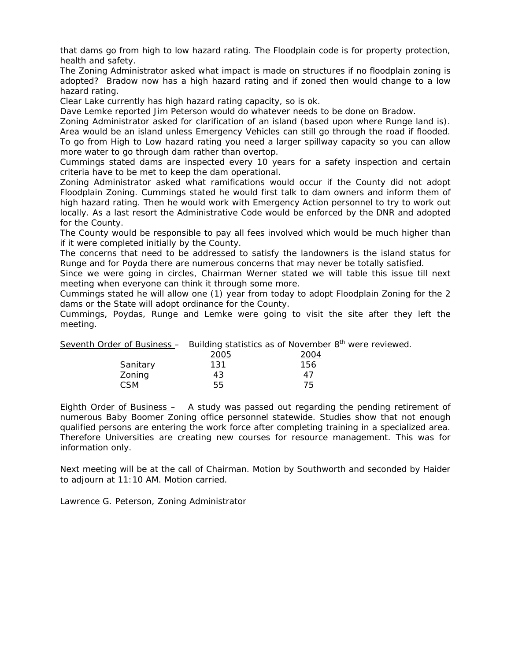that dams go from high to low hazard rating. The Floodplain code is for property protection, health and safety.

The Zoning Administrator asked what impact is made on structures if no floodplain zoning is adopted? Bradow now has a high hazard rating and if zoned then would change to a low hazard rating.

Clear Lake currently has high hazard rating capacity, so is ok.

Dave Lemke reported Jim Peterson would do whatever needs to be done on Bradow.

Zoning Administrator asked for clarification of an island (based upon where Runge land is). Area would be an island unless Emergency Vehicles can still go through the road if flooded.

To go from High to Low hazard rating you need a larger spillway capacity so you can allow more water to go through dam rather than overtop.

Cummings stated dams are inspected every 10 years for a safety inspection and certain criteria have to be met to keep the dam operational.

Zoning Administrator asked what ramifications would occur if the County did not adopt Floodplain Zoning. Cummings stated he would first talk to dam owners and inform them of high hazard rating. Then he would work with Emergency Action personnel to try to work out locally. As a last resort the Administrative Code would be enforced by the DNR and adopted for the County.

The County would be responsible to pay all fees involved which would be much higher than if it were completed initially by the County.

The concerns that need to be addressed to satisfy the landowners is the island status for Runge and for Poyda there are numerous concerns that may never be totally satisfied.

Since we were going in circles, Chairman Werner stated we will table this issue till next meeting when everyone can think it through some more.

Cummings stated he will allow one (1) year from today to adopt Floodplain Zoning for the 2 dams or the State will adopt ordinance for the County.

Cummings, Poydas, Runge and Lemke were going to visit the site after they left the meeting.

Seventh Order of Business  $-$  Building statistics as of November  $8<sup>th</sup>$  were reviewed.

|            | 2005 | 2004 |
|------------|------|------|
| Sanitary   | 131  | 156  |
| Zoning     | 43   | 47   |
| <b>CSM</b> | 55   | 75   |

Eighth Order of Business – A study was passed out regarding the pending retirement of numerous Baby Boomer Zoning office personnel statewide. Studies show that not enough qualified persons are entering the work force after completing training in a specialized area. Therefore Universities are creating new courses for resource management. This was for information only.

Next meeting will be at the call of Chairman. Motion by Southworth and seconded by Haider to adjourn at 11:10 AM. Motion carried.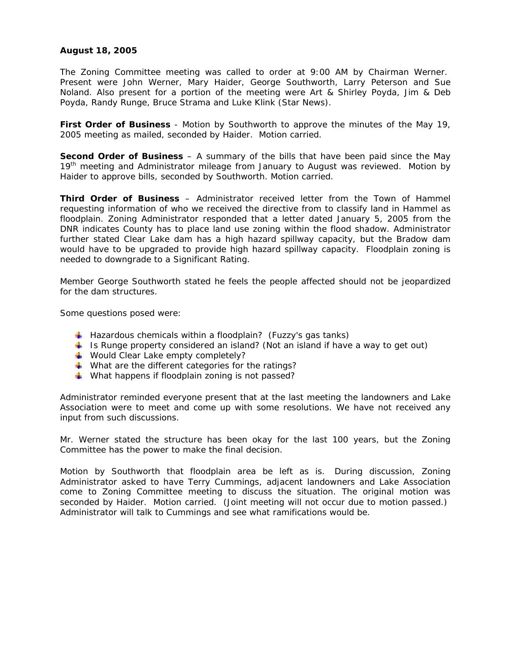# **August 18, 2005**

The Zoning Committee meeting was called to order at 9:00 AM by Chairman Werner. Present were John Werner, Mary Haider, George Southworth, Larry Peterson and Sue Noland. Also present for a portion of the meeting were Art & Shirley Poyda, Jim & Deb Poyda, Randy Runge, Bruce Strama and Luke Klink (Star News).

**First Order of Business** - Motion by Southworth to approve the minutes of the May 19, 2005 meeting as mailed, seconded by Haider. Motion carried.

**Second Order of Business** – A summary of the bills that have been paid since the May 19<sup>th</sup> meeting and Administrator mileage from January to August was reviewed. Motion by Haider to approve bills, seconded by Southworth. Motion carried.

**Third Order of Business** – Administrator received letter from the Town of Hammel requesting information of who we received the directive from to classify land in Hammel as floodplain. Zoning Administrator responded that a letter dated January 5, 2005 from the DNR indicates County has to place land use zoning within the flood shadow. Administrator further stated Clear Lake dam has a high hazard spillway capacity, but the Bradow dam would have to be upgraded to provide high hazard spillway capacity. Floodplain zoning is needed to downgrade to a Significant Rating.

Member George Southworth stated he feels the people affected should not be jeopardized for the dam structures.

Some questions posed were:

- $\downarrow$  Hazardous chemicals within a floodplain? (Fuzzy's gas tanks)
- Is Runge property considered an island? (Not an island if have a way to get out)
- ↓ Would Clear Lake empty completely?
- What are the different categories for the ratings?
- What happens if floodplain zoning is not passed?

Administrator reminded everyone present that at the last meeting the landowners and Lake Association were to meet and come up with some resolutions. We have not received any input from such discussions.

Mr. Werner stated the structure has been okay for the last 100 years, but the Zoning Committee has the power to make the final decision.

Motion by Southworth that floodplain area be left as is. During discussion, Zoning Administrator asked to have Terry Cummings, adjacent landowners and Lake Association come to Zoning Committee meeting to discuss the situation. The original motion was seconded by Haider. Motion carried. (Joint meeting will not occur due to motion passed.) Administrator will talk to Cummings and see what ramifications would be.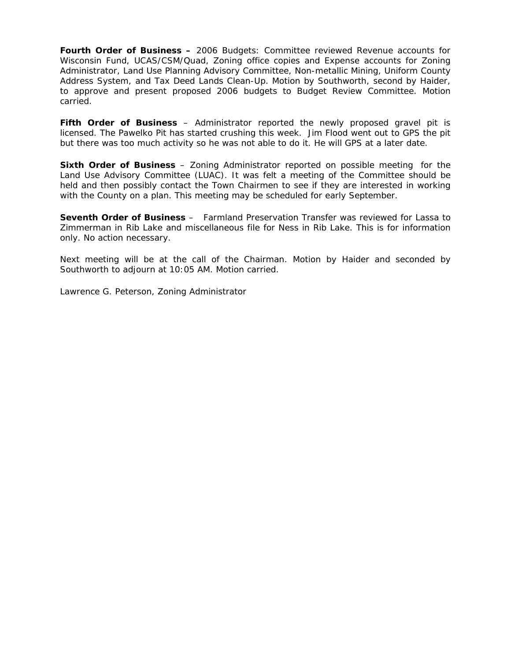**Fourth Order of Business –** 2006 Budgets: Committee reviewed Revenue accounts for Wisconsin Fund, UCAS/CSM/Quad, Zoning office copies and Expense accounts for Zoning Administrator, Land Use Planning Advisory Committee, Non-metallic Mining, Uniform County Address System, and Tax Deed Lands Clean-Up. Motion by Southworth, second by Haider, to approve and present proposed 2006 budgets to Budget Review Committee. Motion carried.

**Fifth Order of Business** – Administrator reported the newly proposed gravel pit is licensed. The Pawelko Pit has started crushing this week. Jim Flood went out to GPS the pit but there was too much activity so he was not able to do it. He will GPS at a later date.

**Sixth Order of Business** – Zoning Administrator reported on possible meeting for the Land Use Advisory Committee (LUAC). It was felt a meeting of the Committee should be held and then possibly contact the Town Chairmen to see if they are interested in working with the County on a plan. This meeting may be scheduled for early September.

**Seventh Order of Business** – Farmland Preservation Transfer was reviewed for Lassa to Zimmerman in Rib Lake and miscellaneous file for Ness in Rib Lake. This is for information only. No action necessary.

Next meeting will be at the call of the Chairman. Motion by Haider and seconded by Southworth to adjourn at 10:05 AM. Motion carried.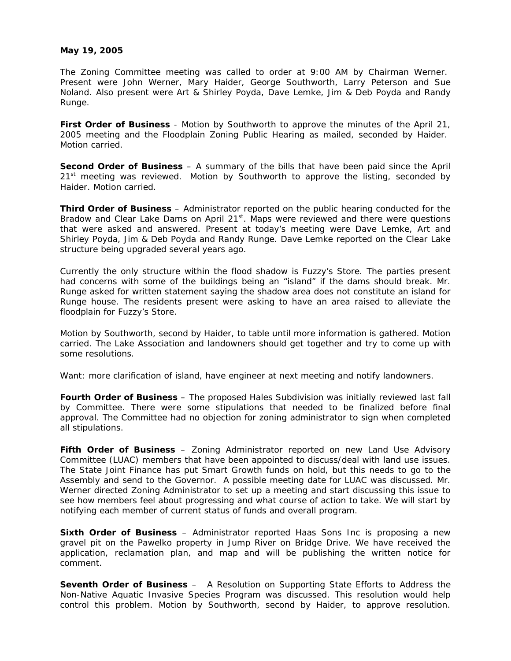### **May 19, 2005**

The Zoning Committee meeting was called to order at 9:00 AM by Chairman Werner. Present were John Werner, Mary Haider, George Southworth, Larry Peterson and Sue Noland. Also present were Art & Shirley Poyda, Dave Lemke, Jim & Deb Poyda and Randy Runge.

**First Order of Business** - Motion by Southworth to approve the minutes of the April 21, 2005 meeting and the Floodplain Zoning Public Hearing as mailed, seconded by Haider. Motion carried.

**Second Order of Business** – A summary of the bills that have been paid since the April  $21<sup>st</sup>$  meeting was reviewed. Motion by Southworth to approve the listing, seconded by Haider. Motion carried.

**Third Order of Business** – Administrator reported on the public hearing conducted for the Bradow and Clear Lake Dams on April  $21^{st}$ . Maps were reviewed and there were questions that were asked and answered. Present at today's meeting were Dave Lemke, Art and Shirley Poyda, Jim & Deb Poyda and Randy Runge. Dave Lemke reported on the Clear Lake structure being upgraded several years ago.

Currently the only structure within the flood shadow is Fuzzy's Store. The parties present had concerns with some of the buildings being an "island" if the dams should break. Mr. Runge asked for written statement saying the shadow area does not constitute an island for Runge house. The residents present were asking to have an area raised to alleviate the floodplain for Fuzzy's Store.

Motion by Southworth, second by Haider, to table until more information is gathered. Motion carried. The Lake Association and landowners should get together and try to come up with some resolutions.

Want: more clarification of island, have engineer at next meeting and notify landowners.

**Fourth Order of Business** – The proposed Hales Subdivision was initially reviewed last fall by Committee. There were some stipulations that needed to be finalized before final approval. The Committee had no objection for zoning administrator to sign when completed all stipulations.

**Fifth Order of Business** – Zoning Administrator reported on new Land Use Advisory Committee (LUAC) members that have been appointed to discuss/deal with land use issues. The State Joint Finance has put Smart Growth funds on hold, but this needs to go to the Assembly and send to the Governor. A possible meeting date for LUAC was discussed. Mr. Werner directed Zoning Administrator to set up a meeting and start discussing this issue to see how members feel about progressing and what course of action to take. We will start by notifying each member of current status of funds and overall program.

**Sixth Order of Business** – Administrator reported Haas Sons Inc is proposing a new gravel pit on the Pawelko property in Jump River on Bridge Drive. We have received the application, reclamation plan, and map and will be publishing the written notice for comment.

**Seventh Order of Business** – A Resolution on Supporting State Efforts to Address the Non-Native Aquatic Invasive Species Program was discussed. This resolution would help control this problem. Motion by Southworth, second by Haider, to approve resolution.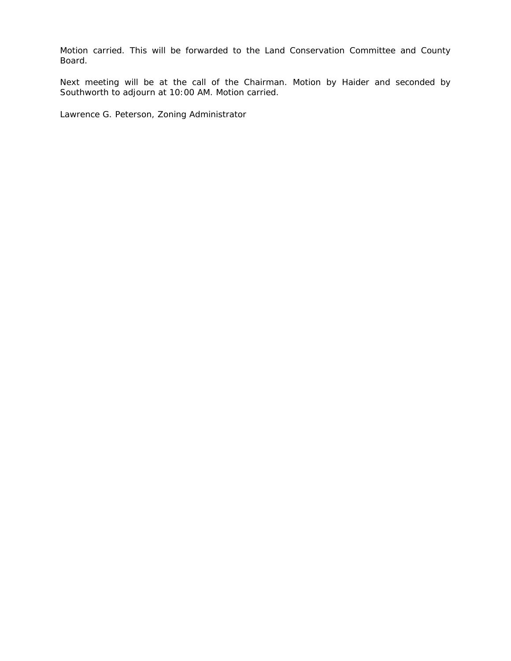Motion carried. This will be forwarded to the Land Conservation Committee and County Board.

Next meeting will be at the call of the Chairman. Motion by Haider and seconded by Southworth to adjourn at 10:00 AM. Motion carried.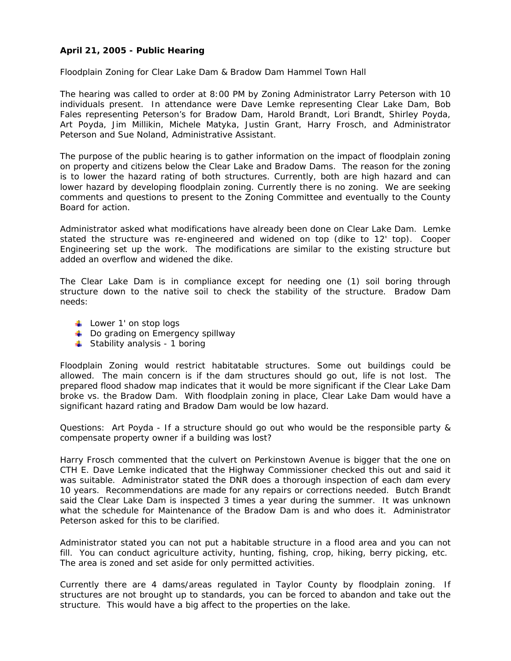# **April 21, 2005 - Public Hearing**

Floodplain Zoning for Clear Lake Dam & Bradow Dam Hammel Town Hall

The hearing was called to order at 8:00 PM by Zoning Administrator Larry Peterson with 10 individuals present. In attendance were Dave Lemke representing Clear Lake Dam, Bob Fales representing Peterson's for Bradow Dam, Harold Brandt, Lori Brandt, Shirley Poyda, Art Poyda, Jim Millikin, Michele Matyka, Justin Grant, Harry Frosch, and Administrator Peterson and Sue Noland, Administrative Assistant.

The purpose of the public hearing is to gather information on the impact of floodplain zoning on property and citizens below the Clear Lake and Bradow Dams. The reason for the zoning is to lower the hazard rating of both structures. Currently, both are high hazard and can lower hazard by developing floodplain zoning. Currently there is no zoning. We are seeking comments and questions to present to the Zoning Committee and eventually to the County Board for action.

Administrator asked what modifications have already been done on Clear Lake Dam. Lemke stated the structure was re-engineered and widened on top (dike to 12' top). Cooper Engineering set up the work. The modifications are similar to the existing structure but added an overflow and widened the dike.

The Clear Lake Dam is in compliance except for needing one (1) soil boring through structure down to the native soil to check the stability of the structure. Bradow Dam needs:

- $\downarrow$  Lower 1' on stop logs
- $\downarrow$  Do grading on Emergency spillway
- $\frac{1}{2}$  Stability analysis 1 boring

Floodplain Zoning would restrict habitatable structures. Some out buildings could be allowed. The main concern is if the dam structures should go out, life is not lost. The prepared flood shadow map indicates that it would be more significant if the Clear Lake Dam broke vs. the Bradow Dam. With floodplain zoning in place, Clear Lake Dam would have a significant hazard rating and Bradow Dam would be low hazard.

Questions: Art Poyda - If a structure should go out who would be the responsible party & compensate property owner if a building was lost?

Harry Frosch commented that the culvert on Perkinstown Avenue is bigger that the one on CTH E. Dave Lemke indicated that the Highway Commissioner checked this out and said it was suitable. Administrator stated the DNR does a thorough inspection of each dam every 10 years. Recommendations are made for any repairs or corrections needed. Butch Brandt said the Clear Lake Dam is inspected 3 times a year during the summer. It was unknown what the schedule for Maintenance of the Bradow Dam is and who does it. Administrator Peterson asked for this to be clarified.

Administrator stated you can not put a habitable structure in a flood area and you can not fill. You can conduct agriculture activity, hunting, fishing, crop, hiking, berry picking, etc. The area is zoned and set aside for only permitted activities.

Currently there are 4 dams/areas regulated in Taylor County by floodplain zoning. If structures are not brought up to standards, you can be forced to abandon and take out the structure. This would have a big affect to the properties on the lake.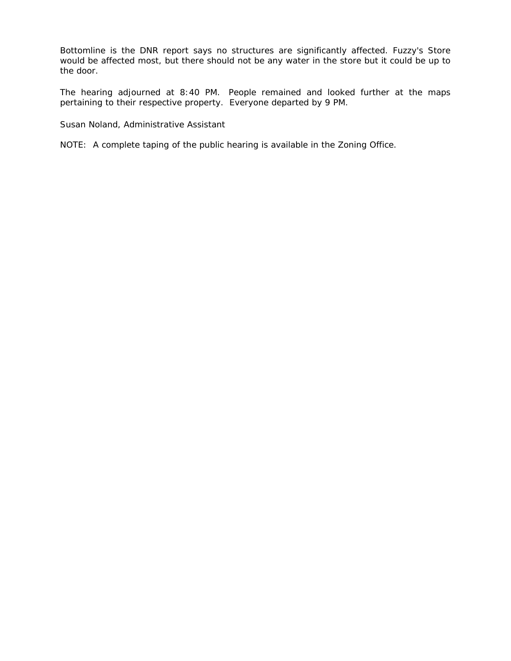Bottomline is the DNR report says no structures are significantly affected. Fuzzy's Store would be affected most, but there should not be any water in the store but it could be up to the door.

The hearing adjourned at 8:40 PM. People remained and looked further at the maps pertaining to their respective property. Everyone departed by 9 PM.

Susan Noland, Administrative Assistant

NOTE: A complete taping of the public hearing is available in the Zoning Office.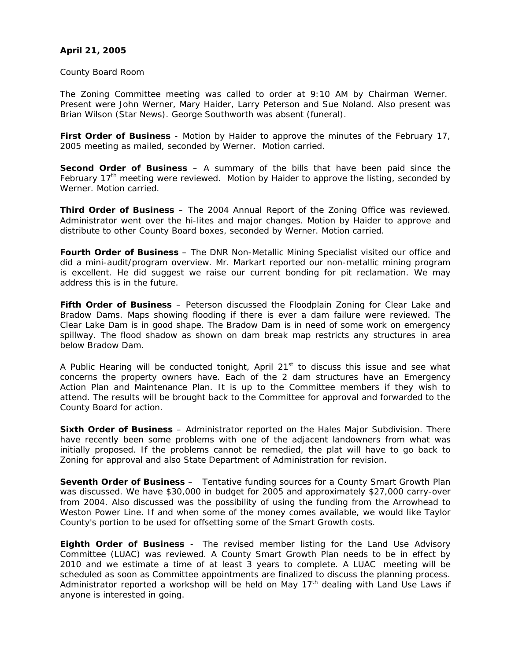# **April 21, 2005**

County Board Room

The Zoning Committee meeting was called to order at 9:10 AM by Chairman Werner. Present were John Werner, Mary Haider, Larry Peterson and Sue Noland. Also present was Brian Wilson (Star News). George Southworth was absent (funeral).

**First Order of Business** - Motion by Haider to approve the minutes of the February 17, 2005 meeting as mailed, seconded by Werner. Motion carried.

**Second Order of Business** – A summary of the bills that have been paid since the February 17<sup>th</sup> meeting were reviewed. Motion by Haider to approve the listing, seconded by Werner. Motion carried.

**Third Order of Business** – The 2004 Annual Report of the Zoning Office was reviewed. Administrator went over the hi-lites and major changes. Motion by Haider to approve and distribute to other County Board boxes, seconded by Werner. Motion carried.

**Fourth Order of Business** – The DNR Non-Metallic Mining Specialist visited our office and did a mini-audit/program overview. Mr. Markart reported our non-metallic mining program is excellent. He did suggest we raise our current bonding for pit reclamation. We may address this is in the future.

**Fifth Order of Business** – Peterson discussed the Floodplain Zoning for Clear Lake and Bradow Dams. Maps showing flooding if there is ever a dam failure were reviewed. The Clear Lake Dam is in good shape. The Bradow Dam is in need of some work on emergency spillway. The flood shadow as shown on dam break map restricts any structures in area below Bradow Dam.

A Public Hearing will be conducted tonight, April 21 $<sup>st</sup>$  to discuss this issue and see what</sup> concerns the property owners have. Each of the 2 dam structures have an Emergency Action Plan and Maintenance Plan. It is up to the Committee members if they wish to attend. The results will be brought back to the Committee for approval and forwarded to the County Board for action.

**Sixth Order of Business** – Administrator reported on the Hales Major Subdivision. There have recently been some problems with one of the adjacent landowners from what was initially proposed. If the problems cannot be remedied, the plat will have to go back to Zoning for approval and also State Department of Administration for revision.

**Seventh Order of Business** – Tentative funding sources for a County Smart Growth Plan was discussed. We have \$30,000 in budget for 2005 and approximately \$27,000 carry-over from 2004. Also discussed was the possibility of using the funding from the Arrowhead to Weston Power Line. If and when some of the money comes available, we would like Taylor County's portion to be used for offsetting some of the Smart Growth costs.

**Eighth Order of Business** - The revised member listing for the Land Use Advisory Committee (LUAC) was reviewed. A County Smart Growth Plan needs to be in effect by 2010 and we estimate a time of at least 3 years to complete. A LUAC meeting will be scheduled as soon as Committee appointments are finalized to discuss the planning process. Administrator reported a workshop will be held on May  $17<sup>th</sup>$  dealing with Land Use Laws if anyone is interested in going.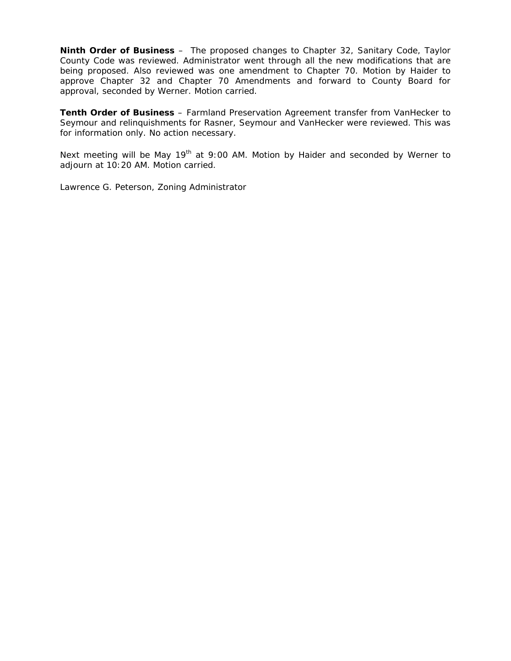**Ninth Order of Business** – The proposed changes to Chapter 32, Sanitary Code, Taylor County Code was reviewed. Administrator went through all the new modifications that are being proposed. Also reviewed was one amendment to Chapter 70. Motion by Haider to approve Chapter 32 and Chapter 70 Amendments and forward to County Board for approval, seconded by Werner. Motion carried.

**Tenth Order of Business** – Farmland Preservation Agreement transfer from VanHecker to Seymour and relinquishments for Rasner, Seymour and VanHecker were reviewed. This was for information only. No action necessary.

Next meeting will be May  $19<sup>th</sup>$  at 9:00 AM. Motion by Haider and seconded by Werner to adjourn at 10:20 AM. Motion carried.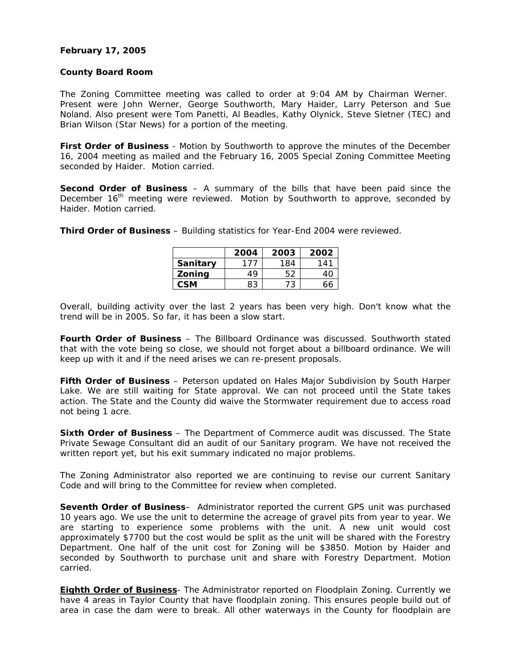## **February 17, 2005**

#### **County Board Room**

The Zoning Committee meeting was called to order at 9:04 AM by Chairman Werner. Present were John Werner, George Southworth, Mary Haider, Larry Peterson and Sue Noland. Also present were Tom Panetti, Al Beadles, Kathy Olynick, Steve Sletner (TEC) and Brian Wilson (Star News) for a portion of the meeting.

**First Order of Business** - Motion by Southworth to approve the minutes of the December 16, 2004 meeting as mailed and the February 16, 2005 Special Zoning Committee Meeting seconded by Haider. Motion carried.

**Second Order of Business** – A summary of the bills that have been paid since the December 16<sup>th</sup> meeting were reviewed. Motion by Southworth to approve, seconded by Haider. Motion carried.

**Third Order of Business** – Building statistics for Year-End 2004 were reviewed.

|            | 2004 | 2003 | 2002 |
|------------|------|------|------|
| Sanitary   | 177  | 184  | 141  |
| Zoning     | 49   | 52   | 40   |
| <b>CSM</b> | 83   | 73   | 66   |

Overall, building activity over the last 2 years has been very high. Don't know what the trend will be in 2005. So far, it has been a slow start.

**Fourth Order of Business** – The Billboard Ordinance was discussed. Southworth stated that with the vote being so close, we should not forget about a billboard ordinance. We will keep up with it and if the need arises we can re-present proposals.

**Fifth Order of Business** – Peterson updated on Hales Major Subdivision by South Harper Lake. We are still waiting for State approval. We can not proceed until the State takes action. The State and the County did waive the Stormwater requirement due to access road not being 1 acre.

**Sixth Order of Business** – The Department of Commerce audit was discussed. The State Private Sewage Consultant did an audit of our Sanitary program. We have not received the written report yet, but his exit summary indicated no major problems.

The Zoning Administrator also reported we are continuing to revise our current Sanitary Code and will bring to the Committee for review when completed.

**Seventh Order of Business**– Administrator reported the current GPS unit was purchased 10 years ago. We use the unit to determine the acreage of gravel pits from year to year. We are starting to experience some problems with the unit. A new unit would cost approximately \$7700 but the cost would be split as the unit will be shared with the Forestry Department. One half of the unit cost for Zoning will be \$3850. Motion by Haider and seconded by Southworth to purchase unit and share with Forestry Department. Motion carried.

**Eighth Order of Business**- The Administrator reported on Floodplain Zoning. Currently we have 4 areas in Taylor County that have floodplain zoning. This ensures people build out of area in case the dam were to break. All other waterways in the County for floodplain are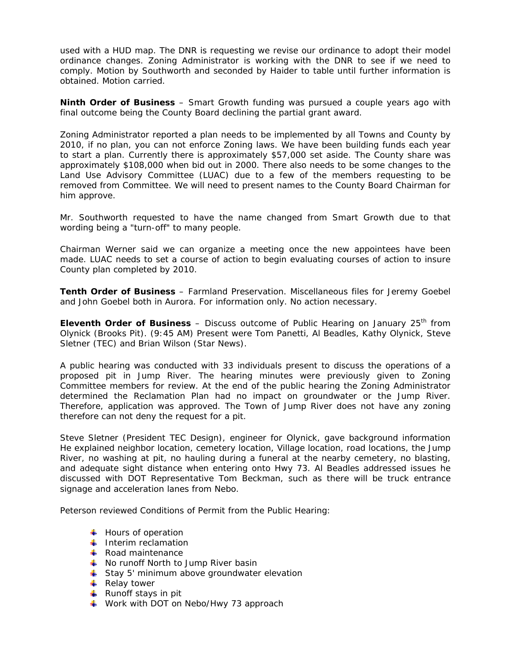used with a HUD map. The DNR is requesting we revise our ordinance to adopt their model ordinance changes. Zoning Administrator is working with the DNR to see if we need to comply. Motion by Southworth and seconded by Haider to table until further information is obtained. Motion carried.

**Ninth Order of Business** – Smart Growth funding was pursued a couple years ago with final outcome being the County Board declining the partial grant award.

Zoning Administrator reported a plan needs to be implemented by all Towns and County by 2010, if no plan, you can not enforce Zoning laws. We have been building funds each year to start a plan. Currently there is approximately \$57,000 set aside. The County share was approximately \$108,000 when bid out in 2000. There also needs to be some changes to the Land Use Advisory Committee (LUAC) due to a few of the members requesting to be removed from Committee. We will need to present names to the County Board Chairman for him approve.

Mr. Southworth requested to have the name changed from Smart Growth due to that wording being a "turn-off" to many people.

Chairman Werner said we can organize a meeting once the new appointees have been made. LUAC needs to set a course of action to begin evaluating courses of action to insure County plan completed by 2010.

**Tenth Order of Business** – Farmland Preservation. Miscellaneous files for Jeremy Goebel and John Goebel both in Aurora. For information only. No action necessary.

**Eleventh Order of Business** – Discuss outcome of Public Hearing on January 25<sup>th</sup> from Olynick (Brooks Pit). (9:45 AM) Present were Tom Panetti, Al Beadles, Kathy Olynick, Steve Sletner (TEC) and Brian Wilson (Star News).

A public hearing was conducted with 33 individuals present to discuss the operations of a proposed pit in Jump River. The hearing minutes were previously given to Zoning Committee members for review. At the end of the public hearing the Zoning Administrator determined the Reclamation Plan had no impact on groundwater or the Jump River. Therefore, application was approved. The Town of Jump River does not have any zoning therefore can not deny the request for a pit.

Steve Sletner (President TEC Design), engineer for Olynick, gave background information He explained neighbor location, cemetery location, Village location, road locations, the Jump River, no washing at pit, no hauling during a funeral at the nearby cemetery, no blasting, and adequate sight distance when entering onto Hwy 73. Al Beadles addressed issues he discussed with DOT Representative Tom Beckman, such as there will be truck entrance signage and acceleration lanes from Nebo.

Peterson reviewed Conditions of Permit from the Public Hearing:

- $\overline{\phantom{a}}$  Hours of operation
- $\ddot{\bullet}$  Interim reclamation
- $\textcolor{red}{\textbf{+}}$  Road maintenance
- $\frac{1}{\sqrt{2}}$  No runoff North to Jump River basin
- Stay 5' minimum above groundwater elevation
- $\overline{\phantom{a}}$  Relay tower
- $\downarrow$  Runoff stays in pit
- $\overline{\phantom{a}}$  Work with DOT on Nebo/Hwy 73 approach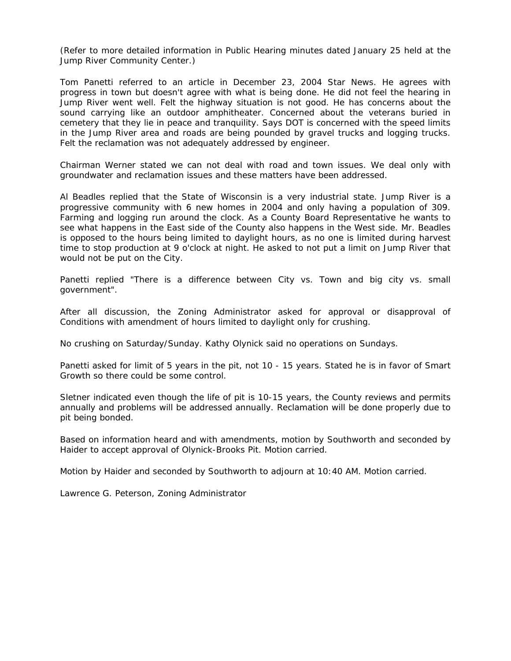(Refer to more detailed information in Public Hearing minutes dated January 25 held at the Jump River Community Center.)

Tom Panetti referred to an article in December 23, 2004 Star News. He agrees with progress in town but doesn't agree with what is being done. He did not feel the hearing in Jump River went well. Felt the highway situation is not good. He has concerns about the sound carrying like an outdoor amphitheater. Concerned about the veterans buried in cemetery that they lie in peace and tranquility. Says DOT is concerned with the speed limits in the Jump River area and roads are being pounded by gravel trucks and logging trucks. Felt the reclamation was not adequately addressed by engineer.

Chairman Werner stated we can not deal with road and town issues. We deal only with groundwater and reclamation issues and these matters have been addressed.

Al Beadles replied that the State of Wisconsin is a very industrial state. Jump River is a progressive community with 6 new homes in 2004 and only having a population of 309. Farming and logging run around the clock. As a County Board Representative he wants to see what happens in the East side of the County also happens in the West side. Mr. Beadles is opposed to the hours being limited to daylight hours, as no one is limited during harvest time to stop production at 9 o'clock at night. He asked to not put a limit on Jump River that would not be put on the City.

Panetti replied "There is a difference between City vs. Town and big city vs. small government".

After all discussion, the Zoning Administrator asked for approval or disapproval of Conditions with amendment of hours limited to daylight only for crushing.

No crushing on Saturday/Sunday. Kathy Olynick said no operations on Sundays.

Panetti asked for limit of 5 years in the pit, not 10 - 15 years. Stated he is in favor of Smart Growth so there could be some control.

Sletner indicated even though the life of pit is 10-15 years, the County reviews and permits annually and problems will be addressed annually. Reclamation will be done properly due to pit being bonded.

Based on information heard and with amendments, motion by Southworth and seconded by Haider to accept approval of Olynick-Brooks Pit. Motion carried.

Motion by Haider and seconded by Southworth to adjourn at 10:40 AM. Motion carried.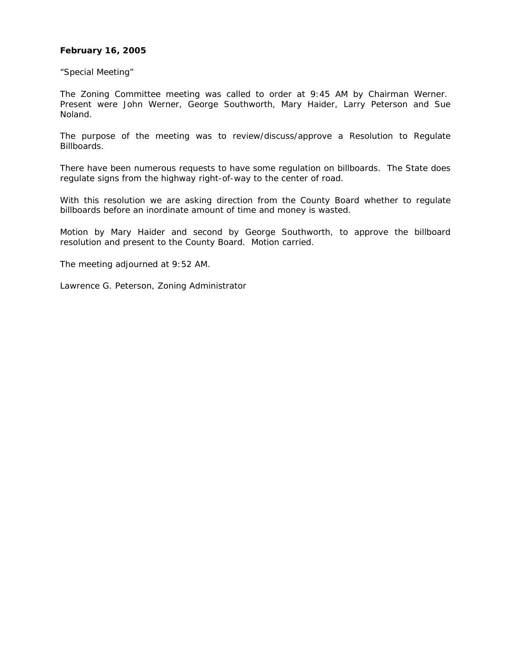## **February 16, 2005**

"Special Meeting"

The Zoning Committee meeting was called to order at 9:45 AM by Chairman Werner. Present were John Werner, George Southworth, Mary Haider, Larry Peterson and Sue Noland.

The purpose of the meeting was to review/discuss/approve a Resolution to Regulate Billboards.

There have been numerous requests to have some regulation on billboards. The State does regulate signs from the highway right-of-way to the center of road.

With this resolution we are asking direction from the County Board whether to regulate billboards before an inordinate amount of time and money is wasted.

Motion by Mary Haider and second by George Southworth, to approve the billboard resolution and present to the County Board. Motion carried.

The meeting adjourned at 9:52 AM.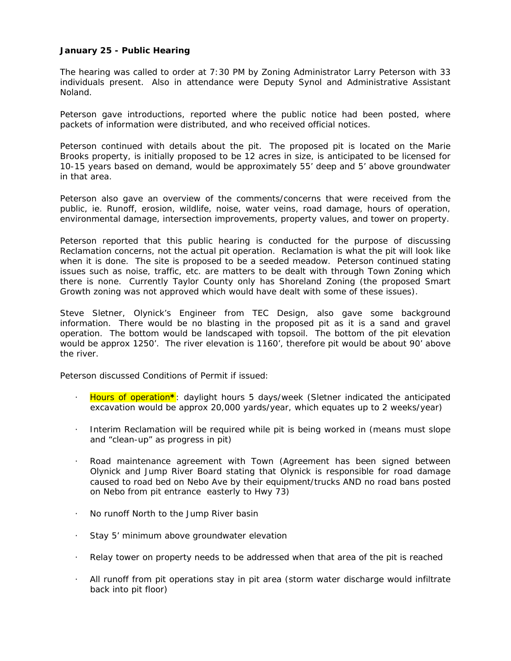# **January 25 - Public Hearing**

The hearing was called to order at 7:30 PM by Zoning Administrator Larry Peterson with 33 individuals present. Also in attendance were Deputy Synol and Administrative Assistant Noland.

Peterson gave introductions, reported where the public notice had been posted, where packets of information were distributed, and who received official notices.

Peterson continued with details about the pit. The proposed pit is located on the Marie Brooks property, is initially proposed to be 12 acres in size, is anticipated to be licensed for 10-15 years based on demand, would be approximately 55' deep and 5' above groundwater in that area.

Peterson also gave an overview of the comments/concerns that were received from the public, ie. Runoff, erosion, wildlife, noise, water veins, road damage, hours of operation, environmental damage, intersection improvements, property values, and tower on property.

Peterson reported that this public hearing is conducted for the purpose of discussing Reclamation concerns, not the actual pit operation. Reclamation is what the pit will look like when it is done. The site is proposed to be a seeded meadow. Peterson continued stating issues such as noise, traffic, etc. are matters to be dealt with through Town Zoning which there is none. Currently Taylor County only has Shoreland Zoning (the proposed Smart Growth zoning was not approved which would have dealt with some of these issues).

Steve Sletner, Olynick's Engineer from TEC Design, also gave some background information. There would be no blasting in the proposed pit as it is a sand and gravel operation. The bottom would be landscaped with topsoil. The bottom of the pit elevation would be approx 1250'. The river elevation is 1160', therefore pit would be about 90' above the river.

Peterson discussed Conditions of Permit if issued:

- · Hours of operation**\***: daylight hours 5 days/week (Sletner indicated the anticipated excavation would be approx 20,000 yards/year, which equates up to 2 weeks/year)
- · Interim Reclamation will be required while pit is being worked in (means must slope and "clean-up" as progress in pit)
- Road maintenance agreement with Town (Agreement has been signed between Olynick and Jump River Board stating that Olynick is responsible for road damage caused to road bed on Nebo Ave by their equipment/trucks AND no road bans posted on Nebo from pit entrance easterly to Hwy 73)
- · No runoff North to the Jump River basin
- Stay 5' minimum above groundwater elevation
- · Relay tower on property needs to be addressed when that area of the pit is reached
- · All runoff from pit operations stay in pit area (storm water discharge would infiltrate back into pit floor)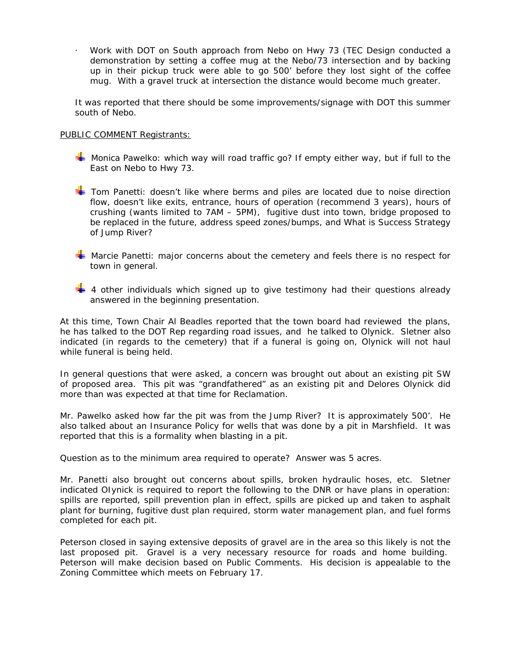· Work with DOT on South approach from Nebo on Hwy 73 (TEC Design conducted a demonstration by setting a coffee mug at the Nebo/73 intersection and by backing up in their pickup truck were able to go 500' before they lost sight of the coffee mug. With a gravel truck at intersection the distance would become much greater.

It was reported that there should be some improvements/signage with DOT this summer south of Nebo.

### PUBLIC COMMENT Registrants:

- $\blacktriangleright$  Monica Pawelko: which way will road traffic go? If empty either way, but if full to the East on Nebo to Hwy 73.
- **T** Tom Panetti: doesn't like where berms and piles are located due to noise direction flow, doesn't like exits, entrance, hours of operation (recommend 3 years), hours of crushing (wants limited to 7AM – 5PM), fugitive dust into town, bridge proposed to be replaced in the future, address speed zones/bumps, and What is Success Strategy of Jump River?
- **Warcie Panetti: major concerns about the cemetery and feels there is no respect for** town in general.
- $\frac{1}{4}$  4 other individuals which signed up to give testimony had their questions already answered in the beginning presentation.

At this time, Town Chair Al Beadles reported that the town board had reviewed the plans, he has talked to the DOT Rep regarding road issues, and he talked to Olynick. Sletner also indicated (in regards to the cemetery) that if a funeral is going on, Olynick will not haul while funeral is being held.

In general questions that were asked, a concern was brought out about an existing pit SW of proposed area. This pit was "grandfathered" as an existing pit and Delores Olynick did more than was expected at that time for Reclamation.

Mr. Pawelko asked how far the pit was from the Jump River? It is approximately 500'. He also talked about an Insurance Policy for wells that was done by a pit in Marshfield. It was reported that this is a formality when blasting in a pit.

Question as to the minimum area required to operate? Answer was 5 acres.

Mr. Panetti also brought out concerns about spills, broken hydraulic hoses, etc. Sletner indicated OIynick is required to report the following to the DNR or have plans in operation: spills are reported, spill prevention plan in effect, spills are picked up and taken to asphalt plant for burning, fugitive dust plan required, storm water management plan, and fuel forms completed for each pit.

Peterson closed in saying extensive deposits of gravel are in the area so this likely is not the last proposed pit. Gravel is a very necessary resource for roads and home building. Peterson will make decision based on Public Comments. His decision is appealable to the Zoning Committee which meets on February 17.